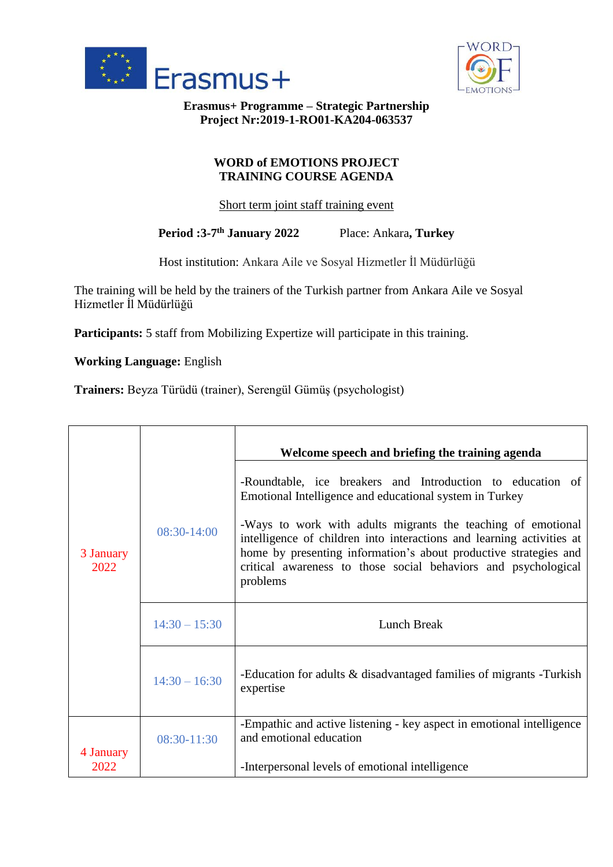



**Erasmus+ Programme – Strategic Partnership Project Nr:2019-1-RO01-KA204-063537**

## **WORD of EMOTIONS PROJECT TRAINING COURSE AGENDA**

Short term joint staff training event

**Period :3-7 th January 2022** Place: Ankara**, Turkey**

Host institution: Ankara Aile ve Sosyal Hizmetler İl Müdürlüğü

The training will be held by the trainers of the Turkish partner from Ankara Aile ve Sosyal Hizmetler İl Müdürlüğü

**Participants:** 5 staff from Mobilizing Expertize will participate in this training.

**Working Language:** English

**Trainers:** Beyza Türüdü (trainer), Serengül Gümüş (psychologist)

|                   |                 | Welcome speech and briefing the training agenda                                                                                                                                                                                                                                                                                                                                                                  |
|-------------------|-----------------|------------------------------------------------------------------------------------------------------------------------------------------------------------------------------------------------------------------------------------------------------------------------------------------------------------------------------------------------------------------------------------------------------------------|
| 3 January<br>2022 | 08:30-14:00     | -Roundtable, ice breakers and Introduction to education of<br>Emotional Intelligence and educational system in Turkey<br>-Ways to work with adults migrants the teaching of emotional<br>intelligence of children into interactions and learning activities at<br>home by presenting information's about productive strategies and<br>critical awareness to those social behaviors and psychological<br>problems |
|                   | $14:30 - 15:30$ | Lunch Break                                                                                                                                                                                                                                                                                                                                                                                                      |
|                   | $14:30 - 16:30$ | -Education for adults & disadvantaged families of migrants -Turkish<br>expertise                                                                                                                                                                                                                                                                                                                                 |
|                   | 08:30-11:30     | -Empathic and active listening - key aspect in emotional intelligence<br>and emotional education                                                                                                                                                                                                                                                                                                                 |
| 4 January<br>2022 |                 | -Interpersonal levels of emotional intelligence                                                                                                                                                                                                                                                                                                                                                                  |